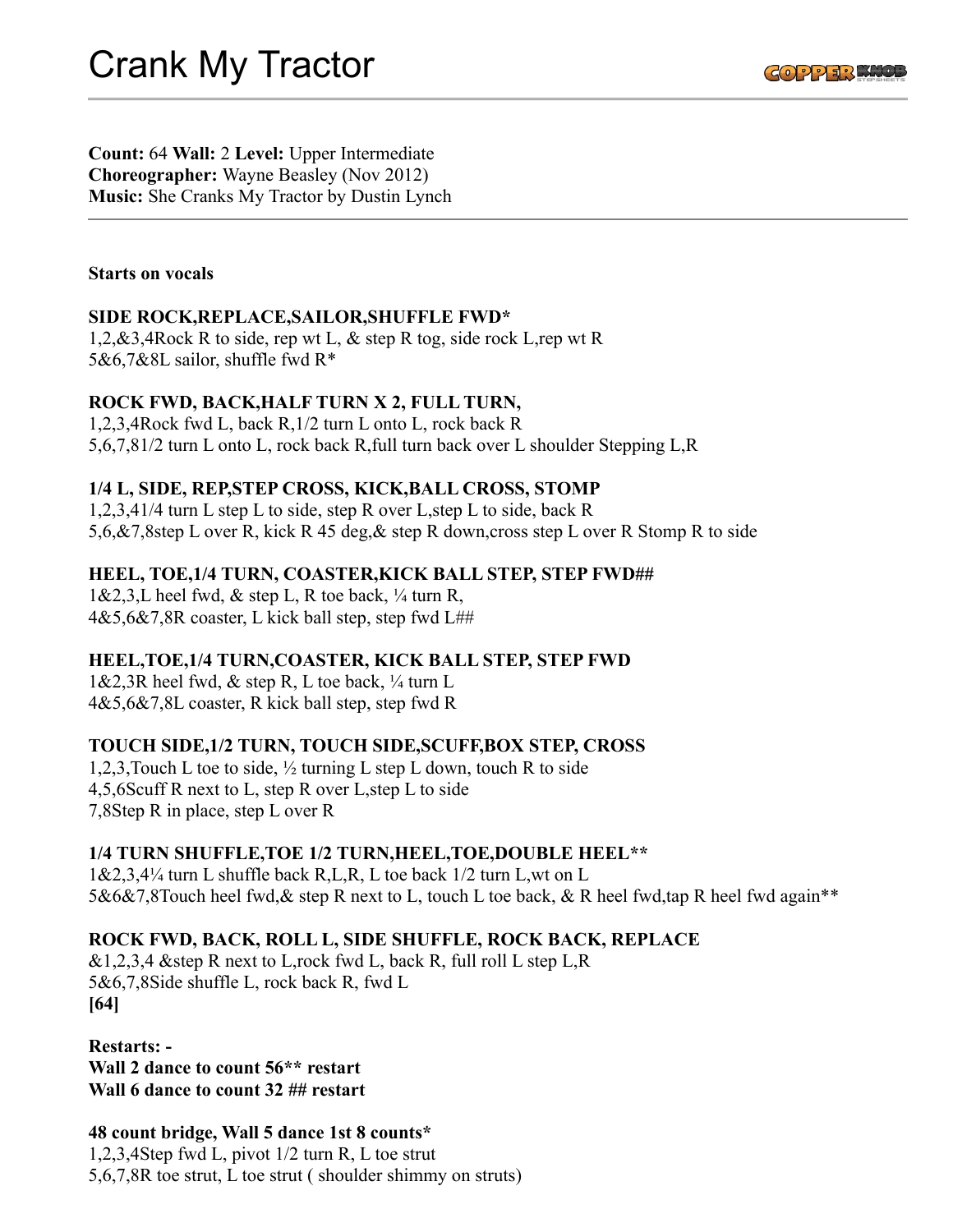

**Count:** 64 **Wall:** 2 **Level:** Upper Intermediate **Choreographer:** Wayne Beasley (Nov 2012) **Music:** She Cranks My Tractor by Dustin Lynch

#### **Starts on vocals**

# **SIDE ROCK,REPLACE,SAILOR,SHUFFLE FWD\***

1,2,&3,4Rock R to side, rep wt L, & step R tog, side rock L,rep wt R 5&6,7&8L sailor, shuffle fwd R\*

### **ROCK FWD, BACK,HALF TURN X 2, FULL TURN,**

1,2,3,4Rock fwd L, back R,1/2 turn L onto L, rock back R 5,6,7,81/2 turn L onto L, rock back R,full turn back over L shoulder Stepping L,R

### **1/4 L, SIDE, REP,STEP CROSS, KICK,BALL CROSS, STOMP**

1,2,3,41/4 turn L step L to side, step R over L,step L to side, back R 5,6,&7,8step L over R, kick R 45 deg,& step R down,cross step L over R Stomp R to side

### **HEEL, TOE,1/4 TURN, COASTER,KICK BALL STEP, STEP FWD##**

 $1&2,3,L$  heel fwd,  $&$  step L, R toe back,  $\frac{1}{4}$  turn R,  $4&5,6&7,8R \text{ coaster}, L \text{ kick ball step}, \text{step } \text{fwd } L#H$ 

# **HEEL,TOE,1/4 TURN,COASTER, KICK BALL STEP, STEP FWD**

 $1&2,3R$  heel fwd,  $&$  step R, L toe back,  $\frac{1}{4}$  turn L  $4&5,6&7,8L$  coaster, R kick ball step, step fwd R

# **TOUCH SIDE,1/2 TURN, TOUCH SIDE,SCUFF,BOX STEP, CROSS**

1,2,3,Touch L toe to side, ½ turning L step L down, touch R to side 4,5,6Scuff R next to L, step R over L,step L to side 7,8Step R in place, step L over R

#### **1/4 TURN SHUFFLE,TOE 1/2 TURN,HEEL,TOE,DOUBLE HEEL\*\***

1&2,3,4¼ turn L shuffle back R,L,R, L toe back 1/2 turn L,wt on L 5&6&7,8Touch heel fwd, & step R next to L, touch L toe back, & R heel fwd, tap R heel fwd again\*\*

# **ROCK FWD, BACK, ROLL L, SIDE SHUFFLE, ROCK BACK, REPLACE**

 $&1,2,3,4$  & step R next to L, rock fwd L, back R, full roll L step L, R 5&6,7,8Side shuffle L, rock back R, fwd L **[64]**

**Restarts: - Wall 2 dance to count 56\*\* restart Wall 6 dance to count 32 ## restart**

**48 count bridge, Wall 5 dance 1st 8 counts\*** 1,2,3,4Step fwd L, pivot 1/2 turn R, L toe strut 5,6,7,8R toe strut, L toe strut ( shoulder shimmy on struts)